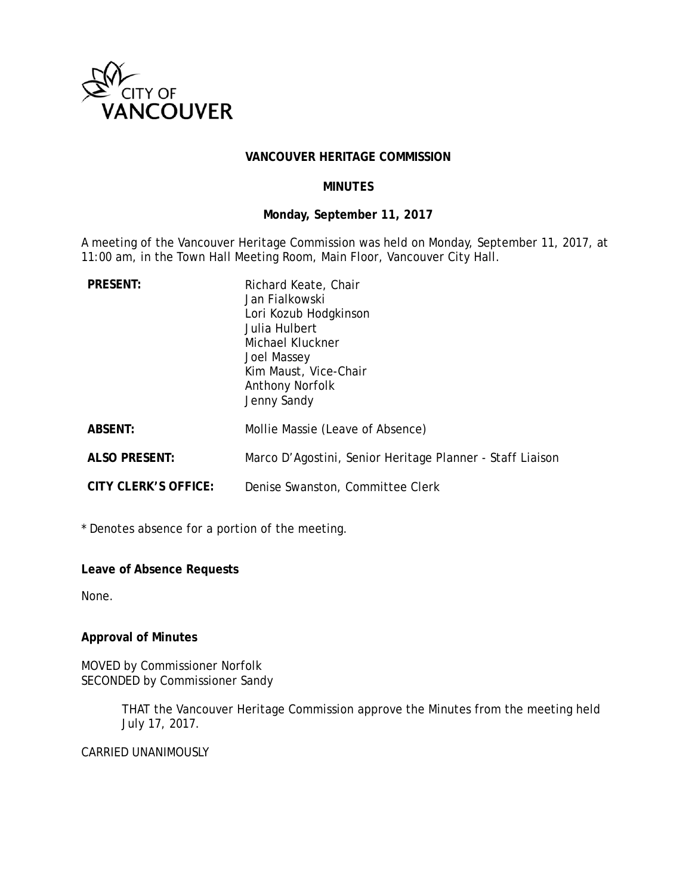

#### **VANCOUVER HERITAGE COMMISSION**

## **MINUTES**

#### **Monday, September 11, 2017**

A meeting of the Vancouver Heritage Commission was held on Monday, September 11, 2017, at 11:00 am, in the Town Hall Meeting Room, Main Floor, Vancouver City Hall.

| <b>PRESENT:</b>             | Richard Keate, Chair<br>Jan Fialkowski<br>Lori Kozub Hodgkinson<br>Julia Hulbert<br>Michael Kluckner<br>Joel Massey<br>Kim Maust, Vice-Chair<br>Anthony Norfolk<br>Jenny Sandy |
|-----------------------------|--------------------------------------------------------------------------------------------------------------------------------------------------------------------------------|
| <b>ABSENT:</b>              | Mollie Massie (Leave of Absence)                                                                                                                                               |
| <b>ALSO PRESENT:</b>        | Marco D'Agostini, Senior Heritage Planner - Staff Liaison                                                                                                                      |
| <b>CITY CLERK'S OFFICE:</b> | Denise Swanston, Committee Clerk                                                                                                                                               |

\* Denotes absence for a portion of the meeting.

**Leave of Absence Requests** 

None.

# **Approval of Minutes**

MOVED by Commissioner Norfolk SECONDED by Commissioner Sandy

> THAT the Vancouver Heritage Commission approve the Minutes from the meeting held July 17, 2017.

#### CARRIED UNANIMOUSLY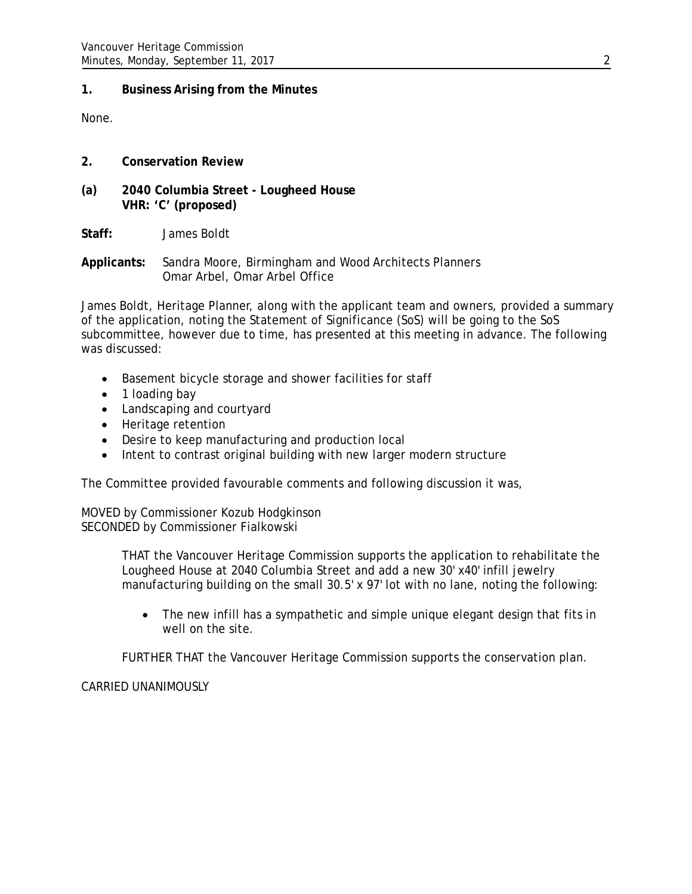# **1. Business Arising from the Minutes**

None.

- **2. Conservation Review**
- **(a) 2040 Columbia Street Lougheed House VHR: 'C' (proposed)**

**Staff:** James Boldt

**Applicants:** Sandra Moore, Birmingham and Wood Architects Planners Omar Arbel, Omar Arbel Office

James Boldt, Heritage Planner, along with the applicant team and owners, provided a summary of the application, noting the Statement of Significance (SoS) will be going to the SoS subcommittee, however due to time, has presented at this meeting in advance. The following was discussed:

- Basement bicycle storage and shower facilities for staff
- 1 loading bay
- Landscaping and courtyard
- Heritage retention
- Desire to keep manufacturing and production local
- Intent to contrast original building with new larger modern structure

The Committee provided favourable comments and following discussion it was,

MOVED by Commissioner Kozub Hodgkinson SECONDED by Commissioner Fialkowski

> THAT the Vancouver Heritage Commission supports the application to rehabilitate the Lougheed House at 2040 Columbia Street and add a new 30' x40' infill jewelry manufacturing building on the small 30.5' x 97' lot with no lane, noting the following:

• The new infill has a sympathetic and simple unique elegant design that fits in well on the site.

FURTHER THAT the Vancouver Heritage Commission supports the conservation plan.

# CARRIED UNANIMOUSLY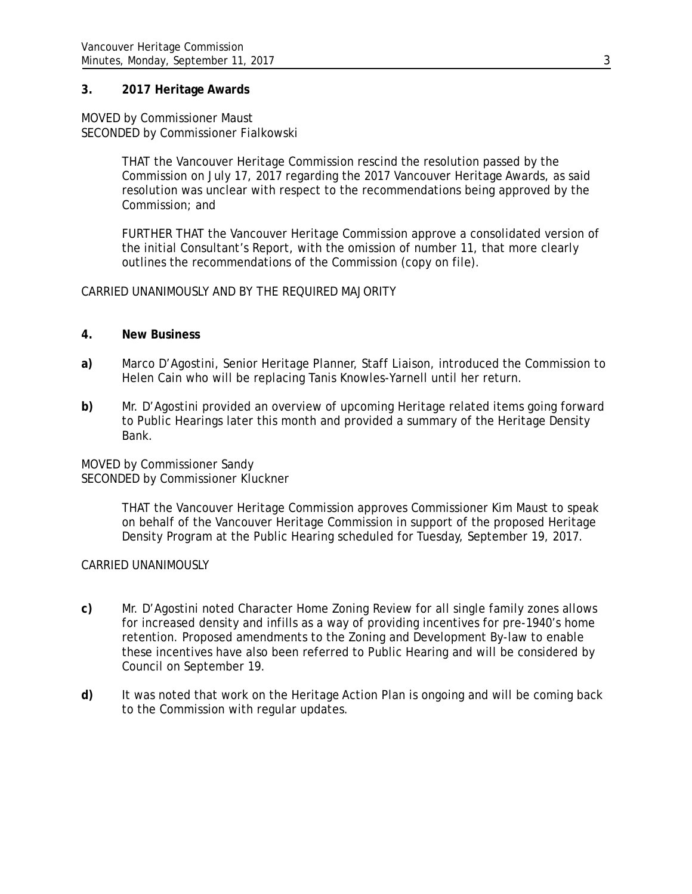## **3. 2017 Heritage Awards**

#### MOVED by Commissioner Maust SECONDED by Commissioner Fialkowski

THAT the Vancouver Heritage Commission rescind the resolution passed by the Commission on July 17, 2017 regarding the 2017 Vancouver Heritage Awards, as said resolution was unclear with respect to the recommendations being approved by the Commission; and

FURTHER THAT the Vancouver Heritage Commission approve a consolidated version of the initial Consultant's Report, with the omission of number 11, that more clearly outlines the recommendations of the Commission (copy on file).

## CARRIED UNANIMOUSLY AND BY THE REQUIRED MAJORITY

## **4. New Business**

- **a)** Marco D'Agostini, Senior Heritage Planner, Staff Liaison, introduced the Commission to Helen Cain who will be replacing Tanis Knowles-Yarnell until her return.
- **b)** Mr. D'Agostini provided an overview of upcoming Heritage related items going forward to Public Hearings later this month and provided a summary of the Heritage Density Bank.

MOVED by Commissioner Sandy SECONDED by Commissioner Kluckner

> THAT the Vancouver Heritage Commission approves Commissioner Kim Maust to speak on behalf of the Vancouver Heritage Commission in support of the proposed Heritage Density Program at the Public Hearing scheduled for Tuesday, September 19, 2017.

## CARRIED UNANIMOUSLY

- **c)** Mr. D'Agostini noted Character Home Zoning Review for all single family zones allows for increased density and infills as a way of providing incentives for pre-1940's home retention. Proposed amendments to the Zoning and Development By-law to enable these incentives have also been referred to Public Hearing and will be considered by Council on September 19.
- **d)** It was noted that work on the Heritage Action Plan is ongoing and will be coming back to the Commission with regular updates.